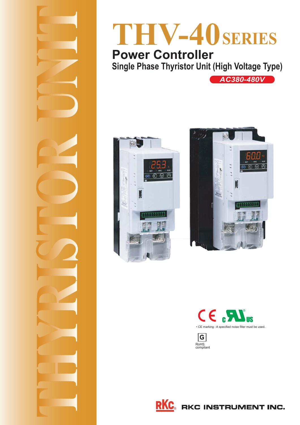

# **THV-40SERIES**

**Single Phase Thyristor Unit (High Voltage Type) Single Phase Thyristor Unit** 

*AC380-480V*





CE Mus • CE marking : A specified noise filter must be used.



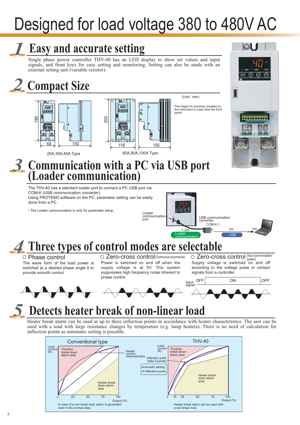# Designed for load voltage 380 to 480V AC

# **Easy and accurate setting**

Single phase power controller THV-40 has an LED display to show set values and input signals, and front keys for easy setting and monitoring. Setting can also be made with an external setting unit (variable resistor).

# *2* **Compact Size**





The height of connector installed on the instrument is lower than the front panel.

(Unit : mm)



# **Communication with a PC via USB port**

**(Loader communication)**

The THV-40 has a standard loader port to connect a PC USB port via COM-K (USB communication converter). Using PROTEM2 software on the PC, parameter setting can be easily done from a PC.

• The Loader communication is only for parameter setup.



## *4* **Three types of control modes are selectable**

*3*

The wave form of the load power is switched at a desired phase angle θ to provide smooth control.

#### $\bigcirc$  Phase control  $\bigcirc$  Zero-cross control(Continuous proportional)  $\bigcirc$  Zero-cross control (Input synchronization Power is switched on and off when the supply voltage is at 0V. This system suppresses high frequency noise inherent to phase control.

Supply voltage is switched on and off according to the voltage pulse or contact signals from a controller.



# **Detects heater break of non-linear load**

Heater break alarm can be used at up to three inflection points in accordance with heater characteristics. The unit can be used with a load with large resistance changes by temperature (e.g. lamp heaters). There is no need of calculation for inflection points as automatic setting is possible.

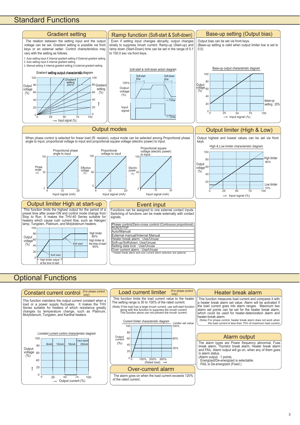### Standard Functions



### **Optional Functions**



3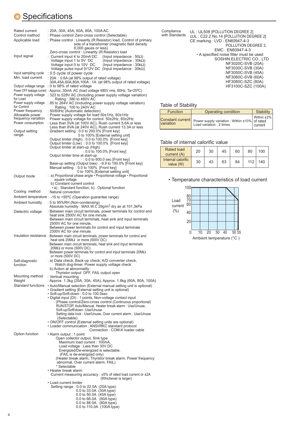## **Specifications**

| Rated current<br>Control method<br>Applicable load                                                                                                                                                           | : 20A, 30A, 45A, 60A, 80A, 100A AC<br>: Phase control/ Zero-cross control (Selectable)<br>: Phase control : Linearity (R:Resistor) load, Control of primary<br>side of a transformer (magnetic field density<br>8,000 gauss or less)                                                                                                                                                                                                                                                                                                                                                                                                                                                                                                                                                                                                                            |
|--------------------------------------------------------------------------------------------------------------------------------------------------------------------------------------------------------------|-----------------------------------------------------------------------------------------------------------------------------------------------------------------------------------------------------------------------------------------------------------------------------------------------------------------------------------------------------------------------------------------------------------------------------------------------------------------------------------------------------------------------------------------------------------------------------------------------------------------------------------------------------------------------------------------------------------------------------------------------------------------------------------------------------------------------------------------------------------------|
| Input signal                                                                                                                                                                                                 | Zero-cross control : Linearity (R:Resistor) load<br>: Current input 4 to 20mA DC<br>(Input impedance: $50\Omega$ )<br>Voltage input 1 to 5V DC<br>(Input impedance : $30k\Omega$ )<br>Voltage input 0 to 10V DC<br>(Input impedance: $30k\Omega$ )<br>Voltage pulse input $0/12V$ DC (Input impedance : $30k\Omega$ )                                                                                                                                                                                                                                                                                                                                                                                                                                                                                                                                           |
| Input sampling cycle<br>Min. load current                                                                                                                                                                    | : 0.5 cycle of power cycle<br>: 20A: 0.6A (at 98% output of rated voltage)                                                                                                                                                                                                                                                                                                                                                                                                                                                                                                                                                                                                                                                                                                                                                                                      |
| Output voltage range<br>Power supply voltage<br>for Load<br>Power supply voltage<br>for Control<br>Power frequency<br>Allowable power<br>frequency variation<br>Power consumption<br>Output setting<br>range | 30A,45A,60A,80A,100A: 1A (at 98% output of rated voltage)<br>: 0 to 98% of rated voltage<br>Power OFF leakage current: Approx. 30mA AC (load voltage 480V rms, 60Hz, Ta=25°C)<br>: 323 to 528V AC (Including power supply voltage variation)<br>Rating: 380 to 480V AC<br>: 85 to 264V AC (Including power supply voltage variation)<br>Rating: 100 to 240V AC<br>: 50/60Hz (Automatic detection)<br>: Power supply voltage for load 50±1Hz, 60±1Hz<br>Power supply voltage for control 50±2Hz, 60±2Hz<br>: Less than 5VA (at 100V AC), Rush current 5.6A or less<br>Less than 8VA (at 240V AC), Rush current 13.3A or less<br>: Gradient setting : 0.0 to 200.0% [Front key]<br>0 to 100% [External setting unit]<br>Output limiter (High) : 0.0 to 100.0% [Front key]<br>Output limiter (Low): 0.0 to 100.0% [Front key]<br>Output limiter at start-up (High) |
|                                                                                                                                                                                                              | : 0.0 to 100.0% [Front key]<br>Output limiter time at start-up                                                                                                                                                                                                                                                                                                                                                                                                                                                                                                                                                                                                                                                                                                                                                                                                  |
|                                                                                                                                                                                                              | : 0.0 to 600.0 sec [Front key]<br>Base-up setting (Output bias) : -9.9 to 100.0% [Front key]<br>Manual setting: 0.0 to 100% [Front key]<br>0 to 100% [External setting unit]                                                                                                                                                                                                                                                                                                                                                                                                                                                                                                                                                                                                                                                                                    |
| Output mode                                                                                                                                                                                                  | : a) Proportional phase angle • Proportional voltage • Proportional<br>square voltage<br>b) Constant current control                                                                                                                                                                                                                                                                                                                                                                                                                                                                                                                                                                                                                                                                                                                                            |
| Cooling method                                                                                                                                                                                               | • a): Standard function, b): Optional function<br>: Natural convection                                                                                                                                                                                                                                                                                                                                                                                                                                                                                                                                                                                                                                                                                                                                                                                          |
|                                                                                                                                                                                                              | Ambient temperature : -15 to +55°C (Operation guarantee range)                                                                                                                                                                                                                                                                                                                                                                                                                                                                                                                                                                                                                                                                                                                                                                                                  |
| Ambient humidity                                                                                                                                                                                             | : 5 to 95%RH (Non-condensing)<br>Absolute humidity: MAX.W.C 29g/m <sup>3</sup> dry air at 101.3kPa                                                                                                                                                                                                                                                                                                                                                                                                                                                                                                                                                                                                                                                                                                                                                              |
| Dielectric voltage                                                                                                                                                                                           | : Between main circuit terminals, power terminals for control and<br>heat sink 2500V AC for one minute.<br>Between main circuit terminals, heat sink and input terminals<br>2500V AC for one minute.<br>Between power terminals for control and input terminals<br>2300V AC for one minute.                                                                                                                                                                                                                                                                                                                                                                                                                                                                                                                                                                     |
|                                                                                                                                                                                                              | Insulation resistance : Between main circuit terminals, power terminals for control and<br>heat sink $20M\Omega$ or more (500V DC)<br>Between main circuit terminals, heat sink and input terminals<br>$20M\Omega$ or more (500V DC)<br>Between power terminals for control and input terminals $20M\Omega$<br>or more (500V DC)                                                                                                                                                                                                                                                                                                                                                                                                                                                                                                                                |
| Self-diagnostic<br>function                                                                                                                                                                                  | : a) Data check, Back-up check, A/D converter check,<br>Watch dog-timer, Power supply voltage check<br>b) Action at abnormality:                                                                                                                                                                                                                                                                                                                                                                                                                                                                                                                                                                                                                                                                                                                                |
| Mounting method                                                                                                                                                                                              | Thyristor output OFF, FAIL output open<br>: Vertical mounting                                                                                                                                                                                                                                                                                                                                                                                                                                                                                                                                                                                                                                                                                                                                                                                                   |
| Weight<br>Standard functions                                                                                                                                                                                 | : Approx. 1.3kg (20A, 30A, 45A), Approx. 1.8kg (60A, 80A, 100A)<br>• Auto/Manual selection (External manual setting unit is optional)<br>• Gradient setting (External setting unit is optional)<br>· Soft-up/Soft-down : 0.0 to 100.0sec<br>· Digital input (DI) : 1 points, Non-voltage contact input<br>(Phase control/Zero-cross control (Continuous proportional)<br>RUN/STOP, Auto/Manual, Heater break alarm : Use/Unuse,<br>Soft-up/Soft\down :Use/Unuse<br>Setting data lock : Use/Unuse, Over current alarm : Use/Unuse<br>(Selectable)<br>• ON/OFF control (External setting units are optional)                                                                                                                                                                                                                                                      |
|                                                                                                                                                                                                              | • Loader communication : ANSI/RKC standard protocol<br>Connection: COM-K loader cable                                                                                                                                                                                                                                                                                                                                                                                                                                                                                                                                                                                                                                                                                                                                                                           |
| Option function                                                                                                                                                                                              | • Alarm output : 1 point<br>Open collector output, Sink type<br>Maximum load current: 100mA,<br>Load voltage: Less than 30V DC<br>Energized/De-energized is selectable.<br>(FAIL is de-energized only)<br>(Heater break alarm, Thyristor break alarm, Power frequency<br>abnormal, Over current alarm, FAIL)<br>* Selectable<br>• Heater break alarm<br>Current measuring accuracy : ±5% of rated load current or ±2A<br>(Whichever is larger)<br>• Load current limiter<br>Setting range: 0.0 to 22.0A (20A type)<br>0.0 to 33.0A (30A type)                                                                                                                                                                                                                                                                                                                   |
|                                                                                                                                                                                                              | 0.0 to 50.0A (45A type)<br>0.0 to 66.0A (60A type)                                                                                                                                                                                                                                                                                                                                                                                                                                                                                                                                                                                                                                                                                                                                                                                                              |

 0.0 to 88.0A (80A type) 0.0 to 110.0A (100A type)

UL : UL508 [POLLUTION DEGREE 2] cUL : C22.2 No.14 [POLLUTION DEGREE 2] CE marking : LVD : EN60947-4-3 POLLUTION DEGREE 2, EMC : EN60947-4-3 • A specified noise filter must be used SOSHIN ELECTRIC CO., LTD NF3020C-SVB (20A) NF3030C-SVB (30A) NF3050C-SVB (45A) NF3060C-SVB (60A) HF3080C-SZC (80A) HF3100C-SZC (100A) Compliance with Standards

### Table of Stability

| <b>Function</b> | Operating condition                                                                                  | <b>Stability</b> |  |  |
|-----------------|------------------------------------------------------------------------------------------------------|------------------|--|--|
|                 | Constant current Power supply variation : Within ±10% of rated<br>variation Load variation : 2 times | Within ±2%       |  |  |

### Table of internal calorific value

| <b>Rated load</b><br>current (A) | 20 | 30 | 45 | 60 | 80  | 100 |
|----------------------------------|----|----|----|----|-----|-----|
| Internal calorific<br>value (W)  | 30 | 43 | 63 | 84 | 112 | 140 |

• Temperature characteristics of load current

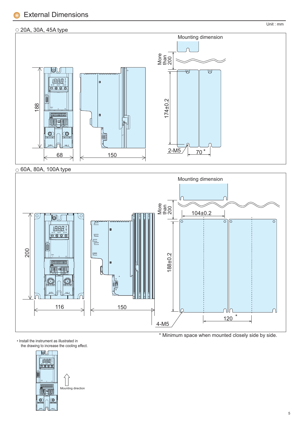### External Dimensions

### 20A, 30A, 45A type



 $\circ$  60A, 80A, 100A type



\* Minimum space when mounted closely side by side.

• Install the instrument as illustrated in the drawing to increase the cooling effect.



Unit : mm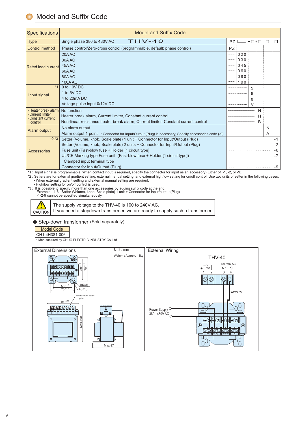| <b>Specifications</b>                   | <b>Model and Suffix Code</b>                                                                          |                                 |     |      |   |      |      |  |
|-----------------------------------------|-------------------------------------------------------------------------------------------------------|---------------------------------|-----|------|---|------|------|--|
| <b>Type</b>                             | $THV-40$<br>Single phase 380 to 480V AC                                                               | $-\Box * \Box$<br>$\Box$<br>PZ. |     |      |   |      |      |  |
| Control method                          | Phase control/Zero-cross control (programmable, default: phase control)                               | PZ:                             |     |      |   |      |      |  |
|                                         | 20AAC                                                                                                 |                                 | 020 |      |   |      |      |  |
|                                         | 30AAC                                                                                                 |                                 | 030 |      |   |      |      |  |
| Rated load current                      | 45A AC                                                                                                |                                 | 045 |      |   |      |      |  |
|                                         | 60AAC                                                                                                 |                                 | 060 |      |   |      |      |  |
|                                         | 80AAC                                                                                                 |                                 | 080 |      |   |      |      |  |
|                                         | 100A AC                                                                                               |                                 | 100 |      |   |      |      |  |
| $*1$                                    | 0 to 10V DC                                                                                           |                                 |     | 5    |   |      |      |  |
| Input signal                            | 1 to 5V DC                                                                                            |                                 |     | 6    |   |      |      |  |
|                                         | 4 to 20mA DC                                                                                          |                                 |     | 8    |   |      |      |  |
|                                         | Voltage pulse input 0/12V DC                                                                          |                                 |     | V    |   |      |      |  |
| • Heater break alarm                    | No function                                                                                           |                                 |     |      | N |      |      |  |
| • Current limiter<br>• Constant current | Heater break alarm, Current limiter, Constant current control                                         |                                 |     | Н    |   |      |      |  |
| control                                 | Non-linear resistance heater break alarm, Current limiter, Constant current control                   |                                 |     | B    |   |      |      |  |
| Alarm output                            | No alarm output                                                                                       |                                 |     |      |   |      |      |  |
|                                         | Alarm output 1 point * Connector for Input/Output (Plug) is necessary, Specify accessories code (-9). |                                 |     |      |   | A    |      |  |
| $*2.*3$                                 | Setter (Volume, knob, Scale plate) 1 unit + Connector for Input/Output (Plug)                         |                                 |     |      |   |      | $-1$ |  |
|                                         | Setter (Volume, knob, Scale plate) 2 units + Connector for Input/Output (Plug)                        |                                 |     |      |   | $-2$ |      |  |
| Accessories                             | Fuse unit (Fast-blow fuse + Holder [1 circuit type]                                                   |                                 |     |      |   | -6   |      |  |
|                                         | UL/CE Marking type Fuse unit (Fast-blow fuse + Holder [1 circuit type])                               |                                 |     | $-7$ |   |      |      |  |
|                                         | Clamped input terminal type                                                                           |                                 |     |      |   |      |      |  |
| Connector for Input/Output (Plug)       |                                                                                                       |                                 |     | -9   |   |      |      |  |

\*1 : Input signal is programmable. When contact input is required, specify the connector for input as an accessory (Either of -1, -2, or -9).

\*2 : Setters are for external gradient setting, external manual setting, and external high/low setting for on/off control. Use two units of setter in the following cases;<br>• When external gradient setting and external manua

• High/low setting for on/off control is used.

\*3 : It is possible to specify more than one accessories by adding suffix code at the end. Example: -1-6 : Setter (Volume, knob, Scale plate) 1 unit + Connector for input/output (Plug)

-1-2-9 cannot be specified simultaneously.

CAUTION **!**

The supply voltage to the THV-40 is 100 to 240V AC. If you need a stepdown transformer, we are ready to supply such a transformer.

Step-down transformer (Sold separately)

CH1-4H381-006 Model Code

• Manufactured by CHUO ELECTRIC INDUSTRY Co.,Ltd

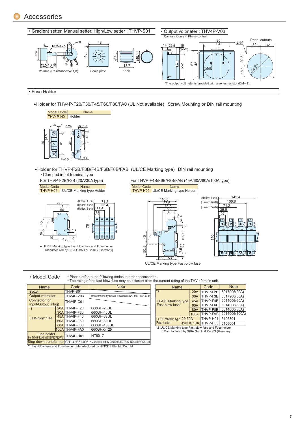

• Fuse Holder

Holder for THV4P-F20/F30/F45/F60/F80/FA0 (UL Not available) Screw Mounting or DIN rail mounting



Holder for THVP-F2B/F3B/F4B/F6B/F8B/FAB (UL/CE Marking type) DIN rail mounting • Clamped input terminal type

Model Code | Mame | Model Code | Mame | Model Code | Mame | Mame | Mame | Mame | Mame | Mame | Mame | Mame | M<br>| THVP-H04 | UL/CE Marking type Holder | North | THVP-H05 | UL/CE Marking ty



UL/CE Marking type Fast-blow fuse and Fuse holder : Manufactured by SIBA GmbH & Co.KG (Germany)

For THVP-F2B/F3B (20A/30A type) For THVP-F4B/F6B/F8B/FAB (45A/60A/80A/100A type)





• Model Code

• Please refer to the following codes to order accessories.

• The rating of the fast-blow fuse may be different from the current rating of the THV-40 main unit.

| <b>THO TUMING OF MID 1001 DID IT 1000 THUT DO UNION OIL HOM</b> |  |                  |                                                                                         |  |  |
|-----------------------------------------------------------------|--|------------------|-----------------------------------------------------------------------------------------|--|--|
| <b>Name</b>                                                     |  | Code             | <b>Note</b>                                                                             |  |  |
| <b>Setter</b>                                                   |  | THVP-S01         |                                                                                         |  |  |
| Output voltmeter                                                |  | <b>THV4P-V03</b> | . Manufactured by Daiichi Electronics Co., Ltd.: LSK-8CH                                |  |  |
| Connector for<br>Input/Output (Plug)                            |  | THV4P-C01        |                                                                                         |  |  |
| $*1$                                                            |  | 20A THV4P-F20    | 660GH-25UL                                                                              |  |  |
|                                                                 |  | 30A THV4P-F30    | 660GH-40UL                                                                              |  |  |
| Fast-blow fuse                                                  |  | 45A THV4P-F40    | 660GH-63UL                                                                              |  |  |
|                                                                 |  | 60A THV4P-F60    | 660GH-80UL                                                                              |  |  |
|                                                                 |  | 80A THV4P-F80    | 660GH-100UL                                                                             |  |  |
|                                                                 |  | 100ATHV4P-FA0    | 660GHX-125                                                                              |  |  |
| Fuse holder<br>(For THV4P-F20/F30/F45/F60/F80/FA0) THV4P-H01    |  |                  | HT6017                                                                                  |  |  |
|                                                                 |  |                  | Step-down transformer CH1-4H381-006   · Manufactured by CHUO ELECTRIC INDUSTRY Co., Ltd |  |  |

\*1:Fast-blow fuse and Fuse holder : Manufactured by HINODE Electric Co. Ltd.

| <b>Name</b>                                            |                        |          | Code         | <b>Note</b>   |  |  |  |
|--------------------------------------------------------|------------------------|----------|--------------|---------------|--|--|--|
| $*$                                                    | 20A                    | THVP-F2B | 5017906(20A) |               |  |  |  |
|                                                        |                        | 30A      | THVP-F3B     | 5017906(30A)  |  |  |  |
| <b>UL/CE Marking type</b>                              | 45A                    | THVP-F4B | 5014006(50A) |               |  |  |  |
| Fast-blow fuse                                         | 60A                    | THVP-F6B | 5014006(63A) |               |  |  |  |
|                                                        | 80A                    | THVP-F8B | 5014006(80A) |               |  |  |  |
|                                                        |                        | 100A     | THVP-FAB     | 5014006(100A) |  |  |  |
| <b>UL/CE Marking type</b>                              | 20.30A                 |          | THVP-H04     | 5106304       |  |  |  |
| <b>Fuse holder</b>                                     | 45.60.80.100A THVP-H05 |          |              | 5106004       |  |  |  |
| *2 : UL/CE Marking type Fast-blow fuse and Fuse holder |                        |          |              |               |  |  |  |

\*2 :UL/CE Marking type Fast-blow fuse and Fuse holder : Manufactured by SIBA GmbH & Co.KG (Germany)